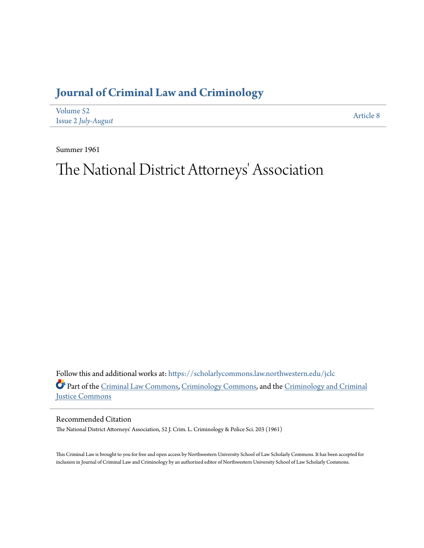# **[Journal of Criminal Law and Criminology](https://scholarlycommons.law.northwestern.edu/jclc?utm_source=scholarlycommons.law.northwestern.edu%2Fjclc%2Fvol52%2Fiss2%2F8&utm_medium=PDF&utm_campaign=PDFCoverPages)**

| Volume 52           | Article 8 |
|---------------------|-----------|
| Issue 2 July-August |           |

Summer 1961

# The National District Attorneys' Association

Follow this and additional works at: [https://scholarlycommons.law.northwestern.edu/jclc](https://scholarlycommons.law.northwestern.edu/jclc?utm_source=scholarlycommons.law.northwestern.edu%2Fjclc%2Fvol52%2Fiss2%2F8&utm_medium=PDF&utm_campaign=PDFCoverPages) Part of the [Criminal Law Commons](http://network.bepress.com/hgg/discipline/912?utm_source=scholarlycommons.law.northwestern.edu%2Fjclc%2Fvol52%2Fiss2%2F8&utm_medium=PDF&utm_campaign=PDFCoverPages), [Criminology Commons](http://network.bepress.com/hgg/discipline/417?utm_source=scholarlycommons.law.northwestern.edu%2Fjclc%2Fvol52%2Fiss2%2F8&utm_medium=PDF&utm_campaign=PDFCoverPages), and the [Criminology and Criminal](http://network.bepress.com/hgg/discipline/367?utm_source=scholarlycommons.law.northwestern.edu%2Fjclc%2Fvol52%2Fiss2%2F8&utm_medium=PDF&utm_campaign=PDFCoverPages) [Justice Commons](http://network.bepress.com/hgg/discipline/367?utm_source=scholarlycommons.law.northwestern.edu%2Fjclc%2Fvol52%2Fiss2%2F8&utm_medium=PDF&utm_campaign=PDFCoverPages)

# Recommended Citation

The National District Attorneys' Association, 52 J. Crim. L. Criminology & Police Sci. 203 (1961)

This Criminal Law is brought to you for free and open access by Northwestern University School of Law Scholarly Commons. It has been accepted for inclusion in Journal of Criminal Law and Criminology by an authorized editor of Northwestern University School of Law Scholarly Commons.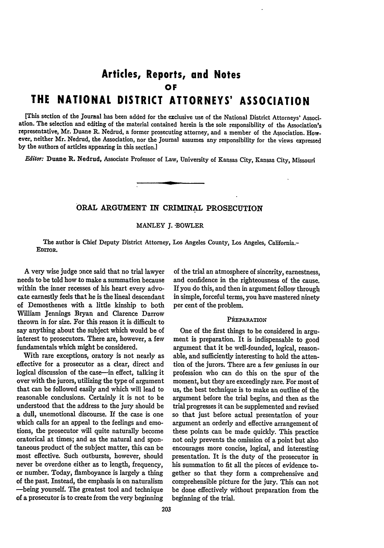# **Articles, Reports, and Notes OF THE NATIONAL DISTRICT ATTORNEYS' ASSOCIATION**

[This section of the Journal has been added for the exclusive use of the National District Attorneys' Association. The selection and editing of the material contained herein is the sole responsibility of the Association's representative, Mr. Duane **R.** Nedrud, a former prosecuting attorney, and a member of the Association. However, neither Mr. Nedrud, the Association, nor the Journal assumes any responsibility for the views expressed **by** the authors of articles appearing in this section.]

*Editor:* Duane R. Nedrud, Associate Professor of Law, University of Kansas City, Kansas City, Missouri

# ORAL **ARGUMENT** IN CRIMINAL **PROSECUTION**

# **MANLEY J.** -BOWLER

The author is Chief Deputy District Attorney, Los Angeles County, Los Angeles, California.- **EDiTOR.**

A very wise judge once said that no trial lawyer needs to be told how to make a summation because within the inner recesses of his heart every advocate earnestly feels that he is the lineal descendant of Demosthenes with a little kinship to both William Jennings Bryan and Clarence Darrow thrown in for size. For this reason it is difficult to say anything about the subject which would be of interest to prosecutors. There are, however, a few fundamentals which might be considered.

With rare exceptions, oratory is not nearly as effective for a prosecutor as a clear, direct and logical discussion of the case-in effect, talking it over with the jurors, utilizing the type of argument that can be followed easily and which will lead to reasonable conclusions. Certainly it is not to be understood that the address to the jury should be a dull, unemotional discourse. If the case is one which calls for an appeal to the feelings and emotions, the prosecutor will quite naturally become oratorical at times; and as the natural and spontaneous product of the subject matter, this can be most effective. Such outbursts, however, should never be overdone either as to length, frequency, or number. Today, flamboyance is largely a thing of the past. Instead, the emphasis is on naturalism -being yourself. The greatest tool and technique of a prosecutor is to create from the very beginning

of the trial an atmosphere of sincerity, earnestness, and confidence in the righteousness of the cause. If you do this, and then in argument follow through in simple, forceful terms, you have mastered ninety per cent of the problem.

# **PkEPARATION**

One of the first things to be considered in argument is preparation. It is indispensable to good argument that it be well-founded, logical, reasonable, and sufficiently interesting to hold the attention of the jurors. There are a few geniuses in our profession who can do this on the spur of the moment, but they are exceedingly rare. For most of us, the best technique is to make an outline of the argument before the trial begins, and then as the trial progresses it can be supplemented and revised so that just before actual presentation of your argument an orderly and effective arrangement of these points can be made quickly. This practice not only prevents the omission of a point but also encourages more concise, logical, and interesting presentation. It is the duty of the prosecutor in his summation to fit all the pieces of evidence together so that they form a comprehensive and comprehensible picture for the jury. This can not be done effectively without preparation from the beginning of the trial.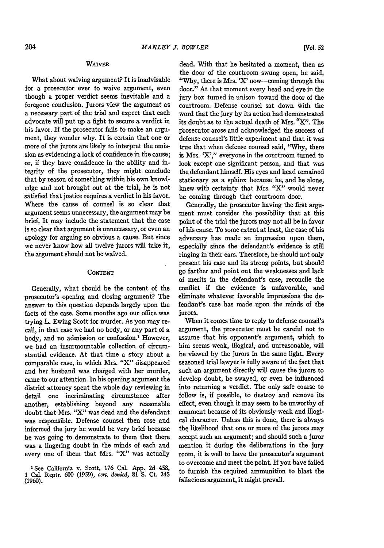# **WAIVER**

What about waiving argument? It is inadvisable for a prosecutor ever to waive argument, even though a proper verdict seems inevitable and a foregone conclusion. Jurors view the argument as a necessary part of the trial and expect that each advocate will put up a fight to secure a verdict in his favor. If the prosecutor fails to make an argument, they wonder why. It is certain that one or more of the jurors are likely to interpret the omission as evidencing a lack of confidence in the cause; or, if they have confidence in the ability and integrity of the prosecutor, they might conclude that **by** reason of something within his own knowledge and not brought out at the trial, he is not satisfied that justice requires a verdict in his favor. Where the cause of counsel is so dear that argument seems unnecessary, the argument may be brief. It may include the statement that the case is so clear that argument is unnecessary, or even an apology for arguing so obvious a cause. But since we never know how all twelve jurors will take it, the argument should not be waived.

#### **CONTENT**

Generally, what should be the content of the prosecutor's opening and dosing argument? The answer to this question depends largely upon the facts of the case. Some months ago our office was trying L. Ewing Scott for murder. As you may recall, in that case we had no body, or any part of a body, and no admission or confession.' However, we had an insurmountable collection of circumstantial evidence. At that time a story about a comparable case, in which Mrs. "X" disappeared and her husband was charged with her murder, came to our attention. In his opening argument the district attorney spent the whole day reviewing in detail one incriminating circumstance after another, establishing beyond any reasonable doubt that Mrs. "X" was dead and the defendant was responsible. Defense counsel then rose and informed the jury he would be very brief because be was going to demonstrate to them that there was a lingering doubt in the minds of each and every one of them that Mrs. "X" was actually

dead. With that he hesitated a moment, then as the door of the courtroom swung open, he said, "Why, there is Mrs. *X'* now-coming through the door." At that moment every head and eye in the jury box turned in unison toward the door of the courtroom. Defense counsel sat down With the word that the jury by its action had demonstrated its doubt as to the actual death of Mrs. "X". The prosecutor arose and acknowledged the success of defense counsel's little experiment and that it was true that when defense counsel said, "Why, there is Mrs. 'X'," everyone in the courtroom turned to look except one significant person, and that was the defendant himself. His eyes and head remained stationary as a sphinx because he, and he alone, knew with certainty that Mrs. "X" would never be coming through that courtroom door.

Generally, the prosecutor having the first argument must consider the possibility that at this point of the trial the jurors may not all be in favor of his cause. To some extent at least, the case of his adversary has made an impression upon them, especially since the defendant's evidence is still ringing in their ears. Therefore, he should not only present his case and its strong points, but should go farther and point out the weaknesses and lack of merits in the defendant's case, reconcile the conflict if the evidence is unfavorable, and eliminate whatever favorable impressions the defendant's case has made upon the minds of the jurors.

When it comes time to reply to defense counsel's argument, the prosecutor must be careful not to assume that his opponent's argument, which to him seems weak, illogical, and unreasonable, will be viewed by the jurors in the same light. Every seasoned trial lawyer is fully aware of the fact that such an argument directly will cause the jurors to develop doubt, be swayed, or even be influenced into returning a verdict. The only safe course to follow is, if possible, to destroy and remove its effect, even though it may seem to be unworthy of comment because of its obviously weak and illogical character. Unless this is done, there is always the likelihood that one or more of the jurors may accept such an argument; and should such a juror mention it during the deliberations in the jury room, it is well to have the prosecutor's argument to overcome and meet the point. If you have failed to furnish the required ammunition to blast the fallacious argument, it might prevail.

**I** See California v. Scott, 176 Cal. App. 2d 458, 1 Cal. Reptr. 600 (1959), *cert. denied,* 81 **S.** Ct. 245 **(1960).**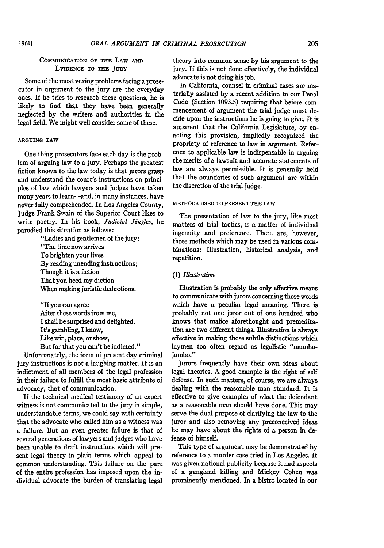19611

# COMMUNICATION OF THE LAW AND EVIDENCE TO **THE JURY**

Some of the most vexing problems facing a prosecutor in argument to the jury are the everyday ones. If he tries to research these questions, he is likely to find that they have been generally neglected **by** the writers and authorities in the legal field. We might well consider some of these.

## **ARGUING LAW**

One thing prosecutors face each day is the problem of arguing law to a jury. Perhaps the greatest fiction known to the law today is that jurors grasp and understand the court's instructions on principles of law which lawyers and judges have taken many years to learn- -and, in many instances, have never fully comprehended. In Los Angeles County, Judge Frank Swain of the Superior Court likes to write poetry. In his book, *Judicial Jingles,* he parodied this situation as follows:

> "Ladies and gentlemen of the jury: "The time now arrives To brighten your lives By reading unending instructions; Though it is a fiction That you heed my diction When making juristic deductions.

"If you can agree After these words from me, I shall be surprised and delighted. It's gambling, I know, Like win, place, or show, But for that you can't be indicted."

Unfortunately, the form of present day criminal jury instructions is not a laughing matter. It is an indictment of all members of the legal profession in their failure to fulfill the most basic attribute of advocacy, that of communication.

If the technical medical testimony of an expert witness is not communicated to the jury in simple, understandable terms, we could say with certainty that the advocate who called him as a witness was a failure. But an even greater failure is that of several generations of lawyers and judges who have been unable to draft instructions which will present legal theory in plain terms which appeal to common understanding. This failure on the part of the entire profession has imposed upon the individual advocate the burden of translating legal

theory into common sense **by** his argument to the jury. If this is not done effectively, the individual advocate is not doing his job.

In California, counsel in criminal cases are materially assisted by a recent addition to our Penal Code (Section 1093.5) requiring that before commencement of argument the trial judge must decide upon the instructions he is going to give. It is apparent that the California Legislature, by enacting this provision, impliedly recognized the propriety of reference to law in argument. Reference to applicable law is indispensable in arguing the merits of a lawsuit and accurate statements of law are always permissible. It is generally held that the boundaries of such argument are within the discretion of the trial judge.

# **METHODS USED 10 PRESENT THE LAW**

The presentation of law to the jury, like most matters of trial tactics, is a matter of individual ingenuity and preference. There are, however, three methods which may be used in various combinations: Illustration, historical analysis, and repetition.

#### **(1)** *Illustraimon*

Illustration is probably the only effective means to communicate with jurors concerning those words which have a peculiar legal meaning. There is probably not one juror out of one hundred who knows that malice aforethought and premeditation are two different things. Illustration is always effective in making those subtle distinctions which laymen too often regard as legalistic "mumbojumbo."

Jurors frequently have their own ideas about legal theories. A good example is the right of self defense. In such matters, of course, we are always dealing with the reasonable man standard. It is effective to give examples of what the defendant as a reasonable man should have done. This may serve the dual purpose of clarifying the law to the juror and also removing any preconceived ideas he may have about the rights of a person in defense of himself.

This type of argument may be demonstrated by reference to a murder case tried in Los Angeles. It was given national publicity because it had aspects of a gangland killing and Mickey Cohen was prominently mentioned. In a bistro located in our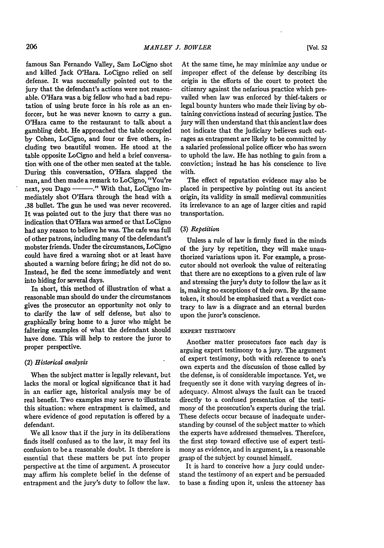famous San Fernando Valley, Sam LoCigno shot and killed Jack O'Hara. LoCigno relied on self defense. It was successfully pointed out to the jury that the defendant's actions were not reasonable. O'Hara was a big fellow who **had** a bad reputation of using brute force in his role as an enforcer, but he was never known to carry a gun. O'Hara came to the restaurant to talk about a gambling debt. He approached the table occupied **by** Cohen, LoCigno, and four or five others, including two beautiful women. He stood at the table opposite LoCigno and held a brief conversation with one of the other men seated at the table. During this conversation, O'Hara slapped the man, and then made a remark to LoCigno, "You're next, you Dago ------." With that, LoCigno immediately shot O'Hara through the head with a **.38** bullet. The gun he used was never recovered. It was pointed out to the jury that there was no indication that O'Hara was armed or that LoCigno had any reason to believe he was. The cafe was full of other patrons, including many of the defendant's mobster friends. Under the circumstances, LoCigno could have fired a warning shot or at least have shouted a warning before firing; he did not do so. Instead, he fled the scene immediately and went into hiding for several days.

In short, this method of illustration of what a reasonable man should do under the circumstances gives the prosecutor an opportunity not only to to clarify the law of self defense, but also- to graphically bring home to a juror who might be faltering examples of what the defendant should have done. This **will** help to restore the juror to proper perspective.

#### (2) *Historical analysis*

When the subject matter is legally relevant, but lacks the moral or logical significance that it had in an earlier age, historical analysis may be of real benefit. Two examples may serve to illustrate this situation: where entrapment is claimed, and where evidence of good reputation is offered **by** a defendant.

We all know that if the jury in its deliberations finds itself confused as to the law, it may feel its confusion to be a reasonable doubt. It therefore is essential that these matters be put into proper perspective at the time of argument. **A** prosecutor may affirm his complete belief in the defense of entrapment and the jury's duty to follow the law.

At the same time, he may minimize any undue or improper effect of the defense **by** describing its origin in the efforts of the court to protect the citizenry against the nefarious practice which prevailed when law was enforced **by** thief-takers or legal bounty hunters who made their living **by** obtaining convictions instead of securing justice. The jury will then understand that this ancient law does not indicate that the judiciary believes such outrages as entrapment are likely to be committed by a salaried professional police officer who has sworn to uphold the law. He has nothing to gain from a conviction; instead he has his conscience to live with.

The effect of reputation evidence may also **be** placed in perspective **by** pointing out its ancient origin, its validity in small medieval communities its irrelevance to an age of larger cities and rapid transportation.

## **(3)** *Repetition*

Unless a rule of law is firmly fixed in the minds of the jury **by** repetition, they will make unauthorized variations upon it. For example, a prosecutor should not overlook the value of reiterating that there are no exceptions to a given rule of law and stressing the jury's duty to follow the law as it is, making no exceptions of their own. **By** the same token, it should be emphasized that a verdict contrary to law is a disgrace and an eternal burden upon the juror's conscience.

# EXPERT TESTIMONY

Another matter prosecutors face each day is arguing expert testimony to a jury. The argument of expert testimony, both with reference to one's own experts and the discussion of those called by the defense, is of considerable importance. Yet, we frequently see it done with varying degrees of inadequacy. Almost always the fault can be traced directly to a confused presentation of the testimony of the prosecution's experts during the trial. These defects occur because of inadequate understanding by counsel of the subject matter to which the experts have addressed themselves. Therefore, the first step toward effective use of expert testimony as evidence, and in argument, is a reasonable grasp of the subject by counsel himself.

It is hard to conceive how a jury could understand the testimony of an expert and be persuaded to base a finding upon it, unless the attorney has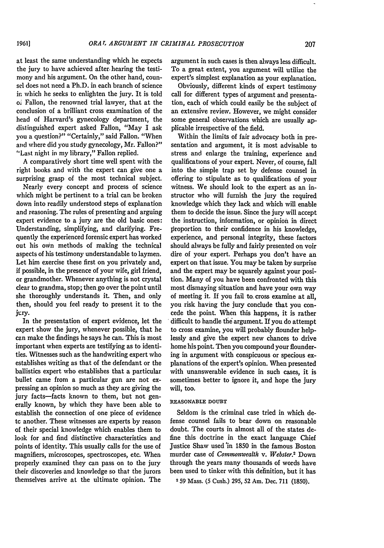at least the same understanding which he expects the jury to have achieved after hearing the testimony and his argument. On the other hand, counsel does not need a Ph.D. in each branch of science in which he seeks to enlighten the jury. It is told *oi* Fallon, the renowned trial lawyer, that at the conclusion of a brilliant cross examination of the head of Harvard's gynecology department, the distinguished expert asked Fallon, "May I ask you a question?" "Certainly," said Fallon. "When and where did you study gynecology, Mr. Fallon?" "Last night in my library," Fallon replied.

A comparatively short time well spent with the right books and with the expert can give one a surprising grasp of the most technical subject.

Nearly every concept and process of science which might be pertinent to a trial can be broken down into readily understood steps of explanation and reasoning. The rules of presenting and arguing expert evidence to a jury are the old basic ones: Understanding, simplifying, and clarifying. Frequently the experienced forensic expert has worked out his own methods of making the technical aspects of his testimony understandable to laymen. Let him exercise these first on you privately and, if possible, in the presence of your wife, girl friend, or grandmother. Whenever anything is not crystal clear to grandma, stop; then go over the point until she thoroughly understands it. Then, and only then, should you feel ready to present it to the jury.

In the presentation of expert evidence, let the expert show the jury, whenever possible, that he can make the findings he says he can. This is most important when experts are testifying as to identities. Witnesses such as the handwriting expert who establishes writing as that of the defendant or the ballistics expert who establishes that a particular bullet came from a particular gun are not expressing an opinion so much as they are giving the jury facts-facts known to them, but not generally known, by which they have been able to establish the connection of one piece of evidence tc another. These witnesses are experts by reason of their special knowledge which enables them to look for and find distinctive characteristics and points of identity. This usually calls for the use of magnifiers, microscopes, spectroscopes, etc. When properly examined they can pass on to the jury their discoveries and knowledge so that the jurors themselves arrive at the ultimate opinion. The

argument in such cases is then always less difficult. To a great extent, you argument will utilize the expert's simplest explanation as your explanation.

Obviously, different kinds of expert testimony call for different types of argument and presentation, each of which could easily be the subject of an extensive review. However, we might consider some general observations which are usually applicable irrespective of the field.

Within the limits of fair advocacy both in presentation and argument, it is most advisable to stress and enlarge the training, experience and qualifications of your expert. Never, of course, fall into the simple trap set by defense counsel in offering to stipulate as to qualifications of your witness. We should look to the expert as an instructor who will furnish the jury the required knowledge which they lack and which will enable them to decide the issue. Since the jury will accept the instruction, information, or opinion in direct proportion to their confidence in his knowledge, experience, and personal integrity, these factors should always be fully and fairly presented on voir dire of your expert. Perhaps you don't have an expert on that issue. You may be taken by surprise and the expert may be squarely against your position. Many of you have been confronted with this most dismaying situation and have your own way of meeting it. If you fail to. cross examine at all, you risk having the jury conclude that you concede the point. When this happens, it is rather difficult to handle the argument. If you do attempt to cross examine, you will probably flounder helplessly and give the expert new chances to drive home his point. Then you compound your floundering in argument with conspicuous or specious explanations of the expert's opinion. When presented with unanswerable evidence in such cases, it is sometimes better to ignore it, and hope the jury will, too.

#### **REASONABLE DOUBT**

Seldom is the criminal case tried in which defense counsel fails to bear down on reasonable doubt. The courts in almost all of the states define this doctrine in the exact language Chief Justice Shaw used 'in **1850** in the famous Boston murder case of *Commonwealth* v. *Webster.2* Down through the years many thousands of words have been used to tinker with this definition, but it has 2 **59** Mass. **(5** Cush.) 295, **52** Am. Dec. **711 (1850).**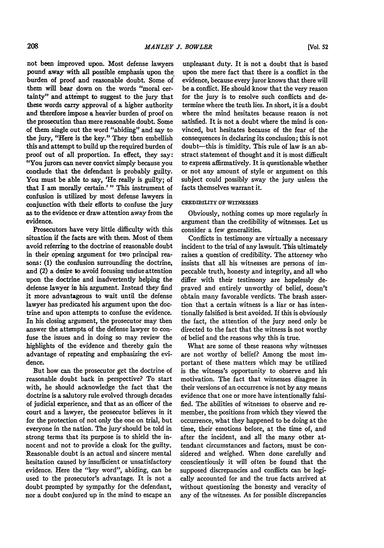not been improved upon. Most defense lawyers pound away with all possible emphasis upon the burden of proof and reasonable doubt. Some of them will bear down on the words "moral certainty" and attempt to suggest to the **jury** that these words carry approval of a higher authority and therefore impose a heavier burden of proof on the prosecution than mere reasonable doubt. Some of them single out the word "abiding" and say to the jury, "Here is the key." They then embellish this and attempt to build up the required burden of proof out of all proportion. In effect, they say: "You jurors can never convict simply because you conclude that the defendant is probably guilty. You must be able to say, 'He really is guilty; of that I am morally certain.'" This instrument of confusion is utilized **by** most defense lawyers in conjunction with their efforts to confuse the jury as **to** the evidence or draw attention away from the evidence.

Prosecutors have very little difficulty with this situation **if** the facts are with them. Most of them avoid referring to the doctrine of reasonable doubt in their opening argument for two principal reasons: **(1)** the confusion surrounding the doctrine, and (2) a desire to avoid focusing undue attention upon the doctrine and inadvertently helping the defense lawyer in his argument. Instead they find it more advantageous to wait until the defense lawyer has predicated his argument upon the doctrine and upon attempts to confuse the evidence. In his closing argument, the prosecutor may then answer the attempts of the defense lawyer to confuse the issues and in doing so may review the highlights of the evidence and thereby gain the advantage of repeating and emphasizing the evidence.

But how can the prosecutor get the doctrine of reasonable doubt back in perspective? To start with, he should acknowledge the fact that the doctrine is a salutory rule evolved through decades of judicial experience, and that as an officer of the court and a lawyer, the prosecutor believes in it for the protection of not only the one on trial, but everyone in the nation. The jury should be told in strong terms that its purpose is to shield the innocent and not to provide a cloak for the guilty. Reasonable doubt is an actual and sincere mental hesitation caused by insufficient or unsatisfactory evidence. Here the "key word", abiding, can **be** used to the prosecutor's advantage. It is not a doubt prompted by sympathy for the defendant, nor a doubt conjured up in the mind to escape an

unpleasant duty. It is not a doubt that is based upon the mere fact that there is a conflict in the evidence, because every juror knows that there will be a conflict. He should know that the very reason for the jury is to resolve such conflicts and determine where the truth lies. In short, it is a doubt where the mind hesitates because reason is not satisfied. It is not a doubt where the mind is convinced, but hesitates because of the fear of the consequences in declaring its conclusion; this is not doubt--this is timidity. This rule of law is an abstract statement of thought and it is most difficult to express affirmatively. It is questionable whether or not any amount of style or argument on this subject could possibly sway the jury unless the facts themselves warrant it.

# **CREDIBILITY** OF **WITNESSES**

Obviously, nothing comes up more regularly in argument than the credibility of witnesses. Let us consider a few generalities.

Conflicts in testimony are virtually a necessary incident to the trial of any lawsuit. This ultimately raises a question of credibility. The attorney who insists that all his witnesses are persons of impeccable truth, honesty and integrity, and all who differ with their testimony are hopelessly depraved and entirely unworthy of belief, doesn't obtain many favorable verdicts. The brash assertion that a certain witness is a liar or has intentionally falsified is best avoided. If this is obviously the fact, the attention of the jury need only be directed to the fact that the witness is not worthy of belief and the reasons why this is true.

What are some of these reasons why witnesses are not worthy of belief? Among the most important of these matters which may be utilized is the witness's opportunity to observe and his motivation. The fact that witnesses disagree in their versions of an occurrence is not by any means evidence that one or more have intentionally falsified. The abilities of witnesses to observe and remember, the positions from which they viewed the occurrence, what they happened to be doing at the time, their emotions before, at the time of, and after the incident, and all the many other attendant circumstances and factors, must be considered and weighed. When done carefully and conscientiously it will often be found that the supposed discrepancies and conflicts can be logically accounted for and the true facts arrived at without questioning the honesty and veracity of any of the witnesses. As for possible discrepancies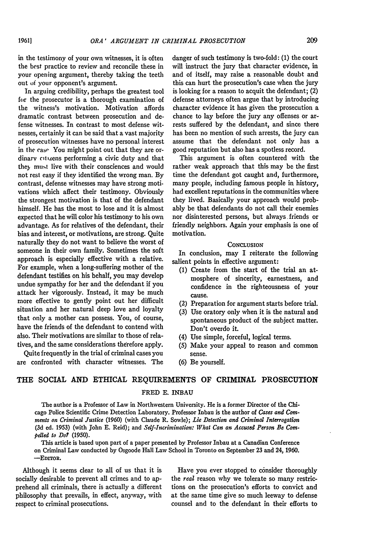in the testimony of your own witnesses, it is often the best practice to review and reconcile these in your opening argument, thereby taking the teeth out **of** your opponent's argument.

In arguing credibility, perhaps the greatest tool for the prosecutor is a thorough examination of the witness's motivation. Motivation affords dramatic contrast between prosecution and defense witnesses. In contrast to most defense witnesses, certainly it can be said that a vast majority of prosecution witnesses have no personal interest in the case. You might point out that they are ordinary citizens performing a civic duty and that they must live with their consciences and would not rest easy if they identified the wrong man. By contrast, defense witnesses may have strong motivations which affect their testimony. Obviously the strongest motivation is that of the defendant himself. He has the most to lose and it is almost expected that he will color his testimony to his own advantage. As for relatives of the defendant, their bias and interest, or motivations, are strong. Quite naturally they do not want to believe the worst of someone in their own family. Sometimes the soft approach is especially effective with a relative. For example, when a long-suffering mother of the defendant testifies on his behalf, you may develop undue sympathy for her and the defendant if you attack her vigorously. Instead, it may be much more effective to gently point out her difficult situation and her natural deep love and loyalty that only a mother can possess. You, of course, have the friends of the defendant to contend with also. Their motivations are similar to those of relatives, and the same considerations therefore apply.

Quite frequently in the trial of criminal cases you are confronted with character witnesses. The danger of such testimony is two-fold: (1) the court will instruct the jury that character evidence, in and of itself, may raise a reasonable doubt and this can hurt the prosecution's case when the jury is looking for a reason to acquit the defendant; (2) defense attorneys often argue that by introducing character evidence it has given the prosecution a chance to lay before the jury any offenses or arrests suffered by the defendant, and since there has been no mention of such arrests, the jury can assume that the defendant not only has a good reputation but also has a spotless record.

This argument is often countered with the rather weak approach that this may be the first time the defendant got caught and, furthermore, many people, including famous people in history, had excellent reputations in the communities where they lived. Basically your approach would probably be that defendants do not call their enemies nor disinterested persons, but always friends or friendly neighbors. Again your emphasis is one of motivation.

#### **CONCLUSION**

In conclusion, may I reiterate the following salient points in effective argument:

- (1) Create from the start of the trial an atmosphere of sincerity, earnestness, and confidence in the righteousness of your cause.
- (2) Preparation for argument starts before trial.
- **(3)** Use oratory only when it is the natural and spontaneous product of the subject matter. Don't overdo it.
- (4) Use simple, forceful, logical terms.
- **(5)** Make your appeal to reason and common sense.
- **(6)** Be yourself.

# THE SOCIAL **AND** ETHICAL **REQUIREMENTS** OF CRIMINAL PROSECUTION

#### FRED **E.** INBAU

The author is a Professor of Law in Northwestern University. He is a former Director of the **Chi**cago Police Scientific Crime Detection Laboratory. Professor Inbau is the author of *Cases and Comments on Criminal Justice* (1960) (with Claude R. Sowle); *Lie Detection and Criminal Interrogation* **(3d** ed. 1953) (with John **E.** Reid); and *Self-Incrimination: What Can an Accused Person Be Compdled to Do?* (1950).

This article is based upon part of a paper presented by Professor Inbau at a Canadian Conference on Criminal Law conducted by Osgoode Hall Law School in Toronto on September **23** and 24, 1960. **-EDITOR.**

Although it seems clear to all of us that it is socially desirable to prevent all crimes and to apprehend all criminals, there is actually a different philosophy that prevails, in effect, anyway, with respect to criminal prosecutions.

Have you ever stopped to consider thoroughly the *real* reason why we tolerate so many restrictions on the prosecution's efforts to convict and at the same time give so much leeway to defense counsel and to the defendant in their efforts to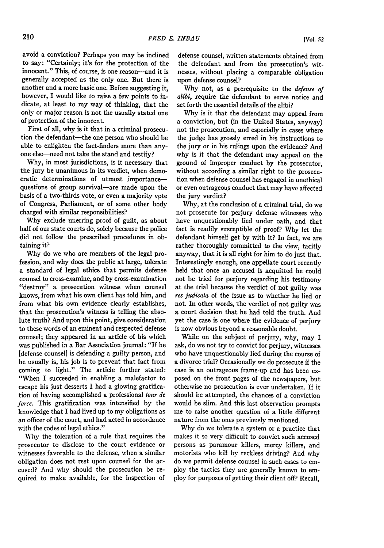avoid a conviction? Perhaps you may be inclined to say: "Certainly; it's for the protection of the innocent." This, of course, is one reason-and it is generally accepted as the only one. But there is another and a more basic one. Before suggesting it, however, I would like to raise a few points to indicate, at least to my way of thinking, that the only or major reason is not the usually stated one of protection of the innocent.

First of all, why is it that in a criminal prosecution the defendant-the one person who should be able to enlighten the fact-finders more than anyone else--need not take the stand and testify?

Why, in most jurisdictions, is it necessary that the jury be unanimous in its verdict, when democratic determinations of utmost importancequestions of group survival-are made upon the basis of a two-thirds vote, or even a majority vote of Congress, Parliament, or of some other body charged with similar responsibilities?

Why exclude unerring proof of guilt, as about half of our state courts do, solely because the police did not follow the prescribed procedures in obtaining it?

Why do we who are members of the legal profession, and why does the public at large, tolerate a standard of legal ethics that permits defense counsel to cross-examine, and by cross-examination "destroy" a prosecution witness when counsel knows, from what his own client has told him, and from what his own evidence clearly establishes, that the prosecution's witness is telling the absolute truth? And upon this point, give consideration to these words of an eminent and respected defense counsel; they appeared in an article of his which was published in a Bar Association journal: "If he [defense counsel] is defending a guilty person, and he usually is, his job is to prevent that fact from coming to light." The article further stated: "When I succeeded in enabling a malefactor to escape his just desserts I had a glowing gratification of having accomplished a professional *tour de force.* This gratification was intensified by the knowledge that I had lived up to my obligations as an officer of the court, and had acted in accordance with the codes of legal ethics."

Why the toleration of a rule that requires the prosecutor to disclose to the court evidence or witnesses favorable to the defense, when a similar obligation does not rest upon counsel for the accused? And why should the prosecution be required to make available, for the inspection of

defense counsel, written statements obtained from the defendant and from the prosecution's witnesses, without placing a comparable obligation upon defense counsel?

Why not, as a prerequisite to the *defense of alibi,* require the defendant to serve notice and set forth the essential details of the alibi?

Why is it that the defendant may appeal from a conviction, but (in the United States, anyway) not the prosecution, and especially in cases where the judge has grossly erred in his instructions to the jury or in his rulings upon the evidence? And why is it that the defendant may appeal on the ground of improper conduct by the prosecutor, without according a similar right to the prosecution when defense counsel has engaged in unethical or even outrageous conduct that may have affected the jury verdict?

Why, at the conclusion of a criminal trial, do we not prosecute for perjury defense witnesses who have unquestionably lied under oath, and that fact is readily susceptible of proof? Why let the defendant himself get by with it? In fact, we are rather thoroughly committed to the view, tacitly anyway, that it is all right for him to do just that. Interestingly enough, one appellate court recently held that once an accused is acquitted he could not be tried for perjury regarding his testimony at the trial because the verdict of not guilty was res *judicala* of the issue as to whether he lied or not. In other words, the verdict of not guilty was a court decision that he had told the truth. And yet the case is one where the evidence of perjury is now obvious beyond a reasonable doubt.

While on the subject of perjury, why, may I ask, do we not try to convict for perjury, witnesses who have unquestionably lied during the course of a divorce trial? Occasionally we do prosecute if the case is an outrageous frame-up and has been exposed on the front pages of the newspapers, but otherwise no prosecution is ever undertaken. If it should be attempted, the chances of a conviction would be slim. And this last observation prompts me to raise another question of a little different nature from the ones previously mentioned.

Why do we tolerate a system or a practice that makes it so very difficult to convict such accused persons as paramour killers, mercy killers, and motorists who kill by reckless driving? And why do we permit defense counsel in such cases to employ the tactics they are generally known to employ for purposes of getting their client off? Recall,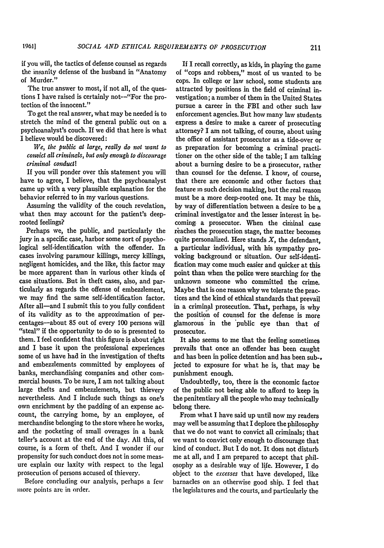if you will, the tactics of defense counsel as regards the insanity defense of the husband in "Anatomy of Murder."

The true answer to most, if not all, of the questions I have raised is certainly not--"For the protection of the innocent."

To get the real answer, what may be needed is to stretch the mind of the general public out on a psychoanalyst's couch. If we did that here is what **I** believe would be discovered:

*11re, the public at large, really do not want to conwict all criminals, but only enough to discourage crintinal conduct!*

If you will ponder over this statement you will have to agree, I believe, that the psychoanalyst came up with a very plausible explanation for the behavior referred to in my various questions.

Assuming the validity of the couch revelation, what then may account for the patient's deeprooted feelings?

Perhaps we, the public, and particularly the jury in a specific case, harbor some sort of psychological self-identification with the offender. In cases involving paramour killings, mercy killings, negligent homicides, and the like, this factor may be more apparent than in various other kinds of case situations. But in theft cases, also, and particularly as regards the offense of embezzlement, we may find the same self-identification factor. After all-and I submit this to you fully confident of its validity as to the approximation of percentages-about **85** out of every 100 persons will "steal" if the opportunity to do so is presented to them. I feel confident that this figure is about right and I base it upon the professional experiences some of us have had in the investigation of thefts and embezzlements committed by employees of banks, merchandising companies and other commercial houses. To be sure, I am not talking about large thefts and embezzlements, but thievery nevertheless. And I include such things as one's own enrichment by the padding of an expense account, the carrying home, by an employee, of merchandise belonging to the store where he works, and the pocketing of small overages in a bank teller's account at the end of the day. All this, of course, is a form of theft. And I wonder if our propensity for such conduct does not in some measure explain our laxity with respect to the legal prosecution of persons accused of thievery.

Before concluding our analysis, perhaps a few more points are in order.

If I recall correctly, as kids, in playing the game of "cops and robbers," most of us wanted to be cops. In college or law school, some students are attracted by positions in the field of criminal investigation; a number of them in the United States pursue a career in the FBI and other such law enforcement agencies. But how many lav students express a desire to make a career of prosecuting attorney? I am not talking, of course, about using the office of assistant prosecutor as a tide-over or as preparation for becoming a criminal practitioner on the other side of the table; I am talking about a burning desire to be a prosecutor, rather than counsel for the defense. I know, of course, that there are economic and other factors that feature in such decision making, but the real reason must be a more deep-rooted one. It may be this, **by** way of differentiation between a desire to be a criminal investigator and the lesser interest in becoming a prosecutor. When the ciminal case reaches the prosecution stage, the matter becomes quite personalized. Here stands  $X$ , the defendant, a particular individual, with his sympathy provoking background or situation. Our self-identification may come much easier and quicker at this point than when the police were searching for the unknown someone who committed the crime. Maybe that is one reason why we tolerate the practices and the kind of ethical standards that prevail in a criminal prosecution. That, perhaps, is why the position of counsel for the defense is more glamorous in the 'public eye than that of prosecutor.

It also seems to me that the feeling sometimes prevails that once an offender has been caught and has been in police detention and has been sub-, jected to exposure for what he is, that may be punishment enough.

Undoubtedly, too, there is the economic factor of the public not being able to afford to keep in the penitentiary all the people who may technically belong there.

From what I have said up until now my readers may well be assuming that I deplore the philosophy that we do not want to convict all criminals; that we want to convict only enough to discourage that kind of conduct. But I do not. It does not disturb me at all, and I am prepared to accept that philosophy as a desirable way of life. However, I do object to the *excesses* that have developed, like barnacles on an otherwise good ship. I feel that the legislatures and the courts, and particularly the